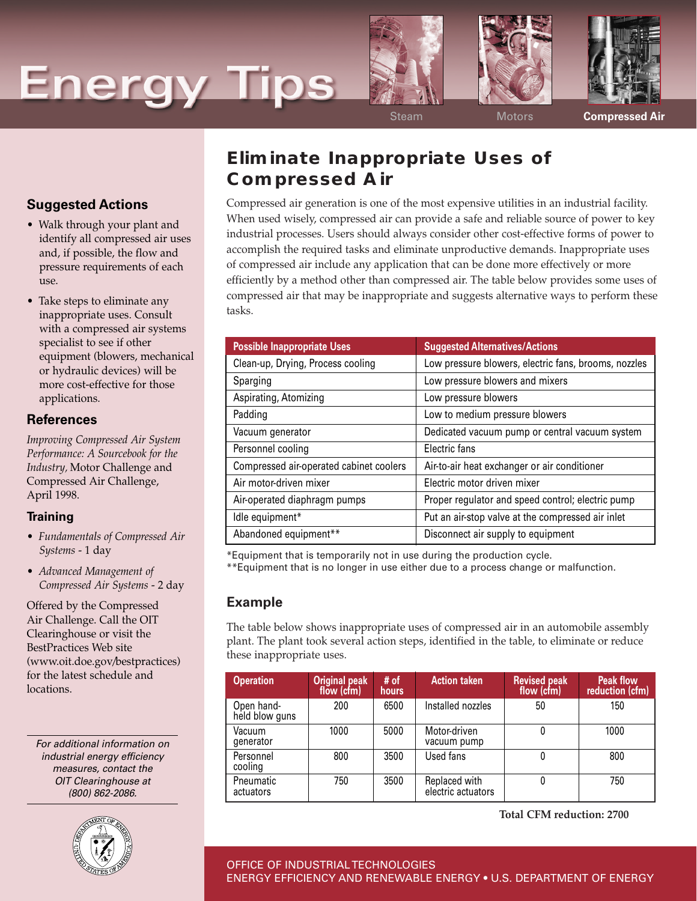# **Energy Tips**







Steam Motors **Compressed Air**

## **Eliminate Inappropriate Uses of Compressed Air**

Compressed air generation is one of the most expensive utilities in an industrial facility. When used wisely, compressed air can provide a safe and reliable source of power to key industrial processes. Users should always consider other cost-effective forms of power to accomplish the required tasks and eliminate unproductive demands. Inappropriate uses of compressed air include any application that can be done more effectively or more efficiently by a method other than compressed air. The table below provides some uses of compressed air that may be inappropriate and suggests alternative ways to perform these tasks.

| <b>Possible Inappropriate Uses</b>      | <b>Suggested Alternatives/Actions</b>                |
|-----------------------------------------|------------------------------------------------------|
| Clean-up, Drying, Process cooling       | Low pressure blowers, electric fans, brooms, nozzles |
| Sparging                                | Low pressure blowers and mixers                      |
| Aspirating, Atomizing                   | Low pressure blowers                                 |
| Padding                                 | Low to medium pressure blowers                       |
| Vacuum generator                        | Dedicated vacuum pump or central vacuum system       |
| Personnel cooling                       | Electric fans                                        |
| Compressed air-operated cabinet coolers | Air-to-air heat exchanger or air conditioner         |
| Air motor-driven mixer                  | Electric motor driven mixer                          |
| Air-operated diaphragm pumps            | Proper regulator and speed control; electric pump    |
| Idle equipment*                         | Put an air-stop valve at the compressed air inlet    |
| Abandoned equipment**                   | Disconnect air supply to equipment                   |

\*Equipment that is temporarily not in use during the production cycle.

\*\*Equipment that is no longer in use either due to a process change or malfunction.

#### **Example**

The table below shows inappropriate uses of compressed air in an automobile assembly plant. The plant took several action steps, identified in the table, to eliminate or reduce these inappropriate uses.

| <b>Operation</b>             | Original peak<br>flow (cfm) | # of<br><b>hours</b> | <b>Action taken</b>                 | <b>Revised peak</b><br>flow (cfm) | <b>Peak flow</b><br>reduction (cfm) |
|------------------------------|-----------------------------|----------------------|-------------------------------------|-----------------------------------|-------------------------------------|
| Open hand-<br>held blow guns | 200                         | 6500                 | Installed nozzles                   | 50                                | 150                                 |
| Vacuum<br>qenerator          | 1000                        | 5000                 | Motor-driven<br>vacuum pump         | 0                                 | 1000                                |
| Personnel<br>cooling         | 800                         | 3500                 | Used fans                           | 0                                 | 800                                 |
| Pneumatic<br>actuators       | 750                         | 3500                 | Replaced with<br>electric actuators | 0                                 | 750                                 |

**Total CFM reduction: 2700**

## **Suggested Actions**

- Walk through your plant and identify all compressed air uses and, if possible, the flow and pressure requirements of each use.
- Take steps to eliminate any inappropriate uses. Consult with a compressed air systems specialist to see if other equipment (blowers, mechanical or hydraulic devices) will be more cost-effective for those applications.

### **References**

*Improving Compressed Air System Performance: A Sourcebook for the Industry,* Motor Challenge and Compressed Air Challenge, April 1998.

#### **Training**

- *Fundamentals of Compressed Air Systems* - 1 day
- *Advanced Management of Compressed Air Systems* - 2 day

Offered by the Compressed Air Challenge. Call the OIT Clearinghouse or visit the BestPractices Web site (www.oit.doe.gov/bestpractices) for the latest schedule and locations.

For additional information on industrial energy efficiency measures, contact the OIT Clearinghouse at (800) 862-2086.



OFFICE OF INDUSTRIAL TECHNOLOGIES ENERGY EFFICIENCY AND RENEWABLE ENERGY • U.S. DEPARTMENT OF ENERGY